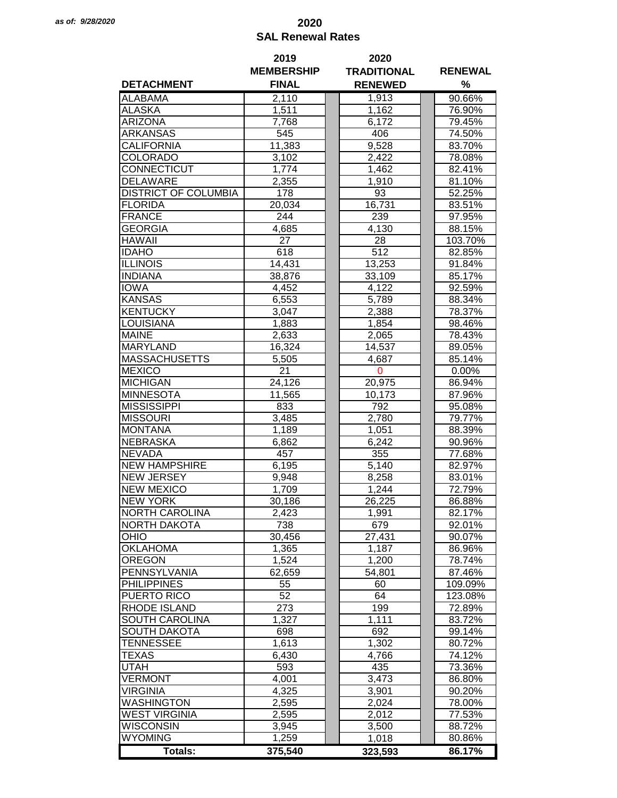## *as of: 9/28/2020* **2020 SAL Renewal Rates**

|                             | 2019              | 2020                |                |  |
|-----------------------------|-------------------|---------------------|----------------|--|
|                             | <b>MEMBERSHIP</b> | <b>TRADITIONAL</b>  | <b>RENEWAL</b> |  |
| <b>DETACHMENT</b>           | <b>FINAL</b>      | <b>RENEWED</b>      | %              |  |
| <b>ALABAMA</b>              | 2,110             | 1,913               | 90.66%         |  |
| <b>ALASKA</b>               | 1,511             | 1,162               | 76.90%         |  |
| <b>ARIZONA</b>              | 7,768             | 6,172               | 79.45%         |  |
| <b>ARKANSAS</b>             | 545               | 406                 | 74.50%         |  |
| <b>CALIFORNIA</b>           | 11,383            | 9,528               | 83.70%         |  |
| <b>COLORADO</b>             | 3,102             | 2,422               | 78.08%         |  |
| CONNECTICUT                 | 1,774             | 1,462               | 82.41%         |  |
| <b>DELAWARE</b>             | 2,355             | 1,910               | 81.10%         |  |
| <b>DISTRICT OF COLUMBIA</b> | 178               | 93                  | 52.25%         |  |
|                             |                   |                     | 83.51%         |  |
| <b>FLORIDA</b>              | 20,034            | 16,731              |                |  |
| <b>FRANCE</b>               | 244               | 239                 | 97.95%         |  |
| <b>GEORGIA</b>              | 4,685             | 4,130               | 88.15%         |  |
| <b>HAWAII</b>               | 27                | 28                  | 103.70%        |  |
| <b>IDAHO</b>                | 618               | 512                 | 82.85%         |  |
| <b>ILLINOIS</b>             | 14,431            | 13,253              | 91.84%         |  |
| <b>INDIANA</b>              | 38,876            | 33,109              | 85.17%         |  |
| <b>IOWA</b>                 | 4,452             | 4,122               | 92.59%         |  |
| <b>KANSAS</b>               | 6,553             | 5,789               | 88.34%         |  |
| <b>KENTUCKY</b>             | 3,047             | 2,388               | 78.37%         |  |
| <b>LOUISIANA</b>            | 1,883             | 1,854               | 98.46%         |  |
| <b>MAINE</b>                | 2,633             | 2,065               | 78.43%         |  |
| <b>MARYLAND</b>             | 16,324            | 14,537              | 89.05%         |  |
| <b>MASSACHUSETTS</b>        | 5,505             | 4,687               | 85.14%         |  |
| <b>MEXICO</b>               | 21                | 0                   | $0.00\%$       |  |
| <b>MICHIGAN</b>             | 24,126            | 20,975              | 86.94%         |  |
| <b>MINNESOTA</b>            | 11,565            | 10,173              | 87.96%         |  |
| <b>MISSISSIPPI</b>          | 833               | 792                 | 95.08%         |  |
| <b>MISSOURI</b>             | 3,485             | 2,780               | 79.77%         |  |
| <b>MONTANA</b>              | 1,189             | 1,051               | 88.39%         |  |
| <b>NEBRASKA</b>             | 6,862             | 6,242               | 90.96%         |  |
| <b>NEVADA</b>               | 457               | 355                 | 77.68%         |  |
| <b>NEW HAMPSHIRE</b>        | 6,195             | 5,140               | 82.97%         |  |
| <b>NEW JERSEY</b>           | 9,948             | 8,258               | 83.01%         |  |
| <b>NEW MEXICO</b>           | 1,709             | 1,244               | 72.79%         |  |
| <b>NEW YORK</b>             | 30,186            | 26,225              | 86.88%         |  |
| <b>NORTH CAROLINA</b>       | 2,423             | $\overline{1}$ ,991 | 82.17%         |  |
| <b>NORTH DAKOTA</b>         | 738               | 679                 | 92.01%         |  |
| OHIO                        | 30,456            | 27,431              | 90.07%         |  |
| <b>OKLAHOMA</b>             | 1,365             | 1,187               | 86.96%         |  |
| <b>OREGON</b>               | 1,524             | 1,200               | 78.74%         |  |
| PENNSYLVANIA                | 62,659            | 54,801              | 87.46%         |  |
| <b>PHILIPPINES</b>          |                   | 60                  |                |  |
|                             | 55                |                     | 109.09%        |  |
| PUERTO RICO                 | 52                | 64                  | 123.08%        |  |
| RHODE ISLAND                | 273               | 199                 | 72.89%         |  |
| SOUTH CAROLINA              | 1,327             | 1,111               | 83.72%         |  |
| <b>SOUTH DAKOTA</b>         | 698               | 692                 | 99.14%         |  |
| <b>TENNESSEE</b>            | 1,613             | 1,302               | 80.72%         |  |
| <b>TEXAS</b>                | 6,430             | 4,766               | 74.12%         |  |
| <b>UTAH</b>                 | 593               | 435                 | 73.36%         |  |
| <b>VERMONT</b>              | 4,001             | 3,473               | 86.80%         |  |
| <b>VIRGINIA</b>             | 4,325             | 3,901               | 90.20%         |  |
| <b>WASHINGTON</b>           | 2,595             | 2,024               | 78.00%         |  |
| <b>WEST VIRGINIA</b>        | 2,595             | 2,012               | 77.53%         |  |
| <b>WISCONSIN</b>            | 3,945             | 3,500               | 88.72%         |  |
| <b>WYOMING</b>              | 1,259             | 1,018               | 80.86%         |  |
| Totals:                     | 375,540           | 323,593             | 86.17%         |  |